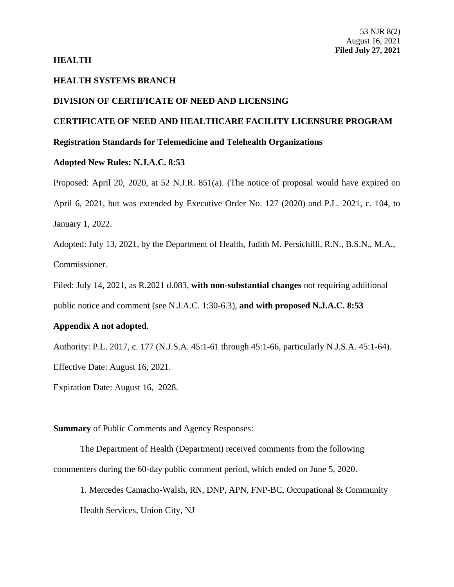### **HEALTH**

# **HEALTH SYSTEMS BRANCH**

### **DIVISION OF CERTIFICATE OF NEED AND LICENSING**

## **CERTIFICATE OF NEED AND HEALTHCARE FACILITY LICENSURE PROGRAM**

### **Registration Standards for Telemedicine and Telehealth Organizations**

### **Adopted New Rules: N.J.A.C. 8:53**

Proposed: April 20, 2020, at 52 N.J.R. 851(a). (The notice of proposal would have expired on April 6, 2021, but was extended by Executive Order No. 127 (2020) and P.L. 2021, c. 104, to January 1, 2022.

Adopted: July 13, 2021, by the Department of Health, Judith M. Persichilli, R.N., B.S.N., M.A., Commissioner.

Filed: July 14, 2021, as R.2021 d.083, **with non-substantial changes** not requiring additional public notice and comment (see N.J.A.C. 1:30-6.3), **and with proposed N.J.A.C. 8:53** 

### **Appendix A not adopted**.

Authority: P.L. 2017, c. 177 (N.J.S.A. 45:1-61 through 45:1-66, particularly N.J.S.A. 45:1-64). Effective Date: August 16, 2021.

Expiration Date: August 16, 2028.

**Summary** of Public Comments and Agency Responses:

The Department of Health (Department) received comments from the following commenters during the 60-day public comment period, which ended on June 5, 2020.

1. Mercedes Camacho-Walsh, RN, DNP, APN, FNP-BC, Occupational & Community Health Services, Union City, NJ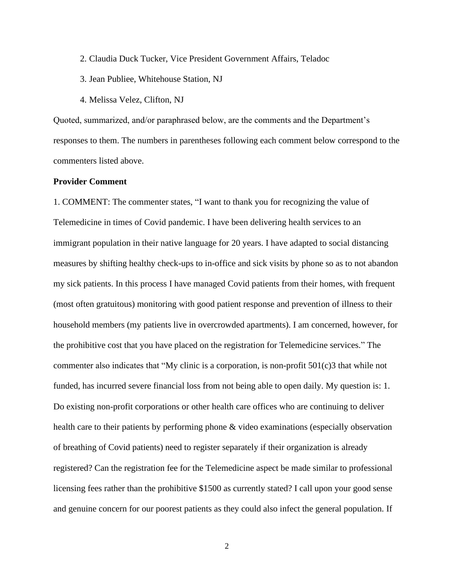- 2. Claudia Duck Tucker, Vice President Government Affairs, Teladoc
- 3. Jean Publiee, Whitehouse Station, NJ
- 4. Melissa Velez, Clifton, NJ

Quoted, summarized, and/or paraphrased below, are the comments and the Department's responses to them. The numbers in parentheses following each comment below correspond to the commenters listed above.

### **Provider Comment**

1. COMMENT: The commenter states, "I want to thank you for recognizing the value of Telemedicine in times of Covid pandemic. I have been delivering health services to an immigrant population in their native language for 20 years. I have adapted to social distancing measures by shifting healthy check-ups to in-office and sick visits by phone so as to not abandon my sick patients. In this process I have managed Covid patients from their homes, with frequent (most often gratuitous) monitoring with good patient response and prevention of illness to their household members (my patients live in overcrowded apartments). I am concerned, however, for the prohibitive cost that you have placed on the registration for Telemedicine services." The commenter also indicates that "My clinic is a corporation, is non-profit 501(c)3 that while not funded, has incurred severe financial loss from not being able to open daily. My question is: 1. Do existing non-profit corporations or other health care offices who are continuing to deliver health care to their patients by performing phone & video examinations (especially observation of breathing of Covid patients) need to register separately if their organization is already registered? Can the registration fee for the Telemedicine aspect be made similar to professional licensing fees rather than the prohibitive \$1500 as currently stated? I call upon your good sense and genuine concern for our poorest patients as they could also infect the general population. If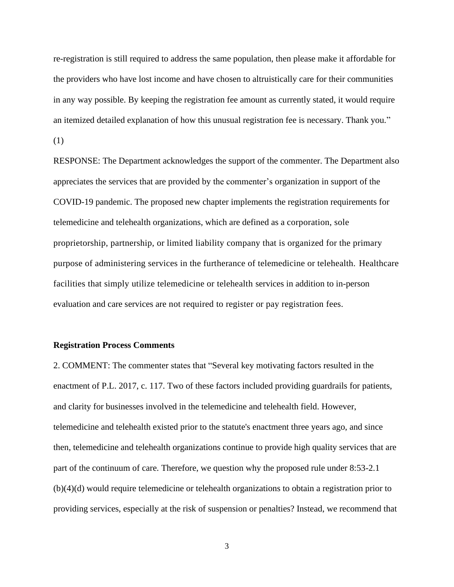re-registration is still required to address the same population, then please make it affordable for the providers who have lost income and have chosen to altruistically care for their communities in any way possible. By keeping the registration fee amount as currently stated, it would require an itemized detailed explanation of how this unusual registration fee is necessary. Thank you."

(1)

RESPONSE: The Department acknowledges the support of the commenter. The Department also appreciates the services that are provided by the commenter's organization in support of the COVID-19 pandemic. The proposed new chapter implements the registration requirements for telemedicine and telehealth organizations, which are defined as a corporation, sole proprietorship, partnership, or limited liability company that is organized for the primary purpose of administering services in the furtherance of telemedicine or telehealth. Healthcare facilities that simply utilize telemedicine or telehealth services in addition to in-person evaluation and care services are not required to register or pay registration fees.

### **Registration Process Comments**

2. COMMENT: The commenter states that "Several key motivating factors resulted in the enactment of P.L. 2017, c. 117. Two of these factors included providing guardrails for patients, and clarity for businesses involved in the telemedicine and telehealth field. However, telemedicine and telehealth existed prior to the statute's enactment three years ago, and since then, telemedicine and telehealth organizations continue to provide high quality services that are part of the continuum of care. Therefore, we question why the proposed rule under 8:53-2.1 (b)(4)(d) would require telemedicine or telehealth organizations to obtain a registration prior to providing services, especially at the risk of suspension or penalties? Instead, we recommend that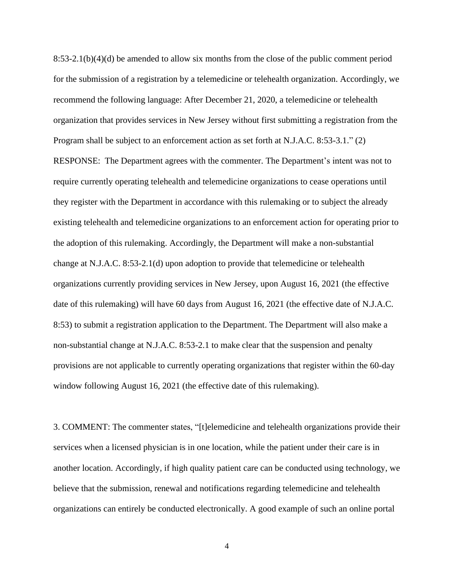8:53-2.1(b)(4)(d) be amended to allow six months from the close of the public comment period for the submission of a registration by a telemedicine or telehealth organization. Accordingly, we recommend the following language: After December 21, 2020, a telemedicine or telehealth organization that provides services in New Jersey without first submitting a registration from the Program shall be subject to an enforcement action as set forth at N.J.A.C. 8:53-3.1." (2) RESPONSE: The Department agrees with the commenter. The Department's intent was not to require currently operating telehealth and telemedicine organizations to cease operations until they register with the Department in accordance with this rulemaking or to subject the already existing telehealth and telemedicine organizations to an enforcement action for operating prior to the adoption of this rulemaking. Accordingly, the Department will make a non-substantial change at N.J.A.C. 8:53-2.1(d) upon adoption to provide that telemedicine or telehealth organizations currently providing services in New Jersey, upon August 16, 2021 (the effective date of this rulemaking) will have 60 days from August 16, 2021 (the effective date of N.J.A.C. 8:53) to submit a registration application to the Department. The Department will also make a non-substantial change at N.J.A.C. 8:53-2.1 to make clear that the suspension and penalty provisions are not applicable to currently operating organizations that register within the 60-day window following August 16, 2021 (the effective date of this rulemaking).

3. COMMENT: The commenter states, "[t]elemedicine and telehealth organizations provide their services when a licensed physician is in one location, while the patient under their care is in another location. Accordingly, if high quality patient care can be conducted using technology, we believe that the submission, renewal and notifications regarding telemedicine and telehealth organizations can entirely be conducted electronically. A good example of such an online portal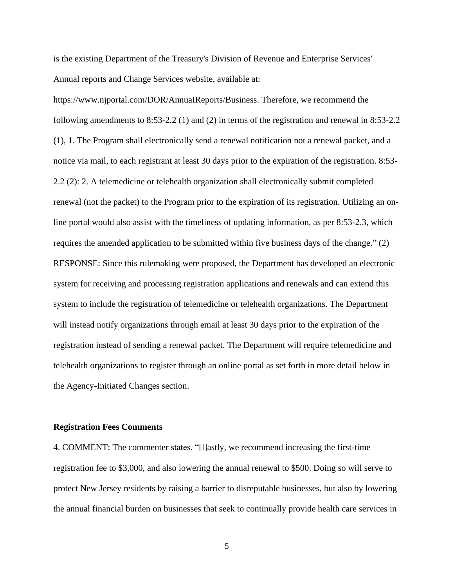is the existing Department of the Treasury's Division of Revenue and Enterprise Services' Annual reports and Change Services website, available at:

[https://www.njportal.com/DOR/AnnuaIReports/Business.](https://www.njportal.com/DOR/AnnuaIReports/Business) Therefore, we recommend the following amendments to 8:53-2.2 (1) and (2) in terms of the registration and renewal in 8:53-2.2 (1), 1. The Program shall electronically send a renewal notification not a renewal packet, and a notice via mail, to each registrant at least 30 days prior to the expiration of the registration. 8:53- 2.2 (2): 2. A telemedicine or telehealth organization shall electronically submit completed renewal (not the packet) to the Program prior to the expiration of its registration. Utilizing an online portal would also assist with the timeliness of updating information, as per 8:53-2.3, which requires the amended application to be submitted within five business days of the change." (2) RESPONSE: Since this rulemaking were proposed, the Department has developed an electronic system for receiving and processing registration applications and renewals and can extend this system to include the registration of telemedicine or telehealth organizations. The Department will instead notify organizations through email at least 30 days prior to the expiration of the registration instead of sending a renewal packet. The Department will require telemedicine and telehealth organizations to register through an online portal as set forth in more detail below in the Agency-Initiated Changes section.

#### **Registration Fees Comments**

4. COMMENT: The commenter states, "[l]astly, we recommend increasing the first-time registration fee to \$3,000, and also lowering the annual renewal to \$500. Doing so will serve to protect New Jersey residents by raising a barrier to disreputable businesses, but also by lowering the annual financial burden on businesses that seek to continually provide health care services in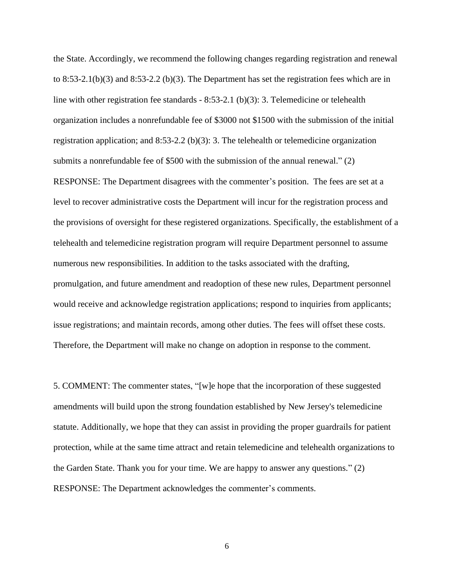the State. Accordingly, we recommend the following changes regarding registration and renewal to 8:53-2.1(b)(3) and 8:53-2.2 (b)(3). The Department has set the registration fees which are in line with other registration fee standards  $-8:53-2.1$  (b)(3): 3. Telemedicine or telehealth organization includes a nonrefundable fee of \$3000 not \$1500 with the submission of the initial registration application; and 8:53-2.2 (b)(3): 3. The telehealth or telemedicine organization submits a nonrefundable fee of \$500 with the submission of the annual renewal." (2) RESPONSE: The Department disagrees with the commenter's position. The fees are set at a level to recover administrative costs the Department will incur for the registration process and the provisions of oversight for these registered organizations. Specifically, the establishment of a telehealth and telemedicine registration program will require Department personnel to assume numerous new responsibilities. In addition to the tasks associated with the drafting, promulgation, and future amendment and readoption of these new rules, Department personnel would receive and acknowledge registration applications; respond to inquiries from applicants; issue registrations; and maintain records, among other duties. The fees will offset these costs. Therefore, the Department will make no change on adoption in response to the comment.

5. COMMENT: The commenter states, "[w]e hope that the incorporation of these suggested amendments will build upon the strong foundation established by New Jersey's telemedicine statute. Additionally, we hope that they can assist in providing the proper guardrails for patient protection, while at the same time attract and retain telemedicine and telehealth organizations to the Garden State. Thank you for your time. We are happy to answer any questions." (2) RESPONSE: The Department acknowledges the commenter's comments.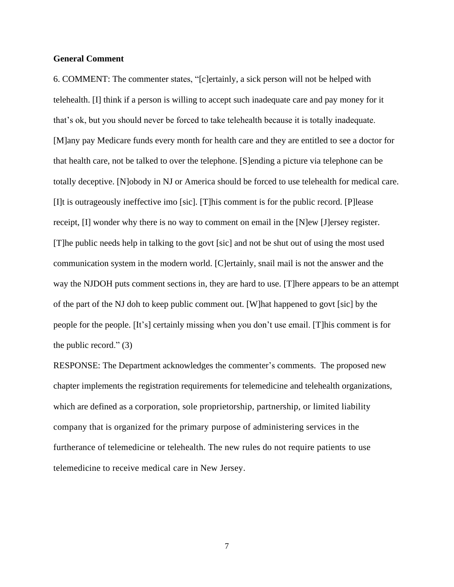### **General Comment**

6. COMMENT: The commenter states, "[c]ertainly, a sick person will not be helped with telehealth. [I] think if a person is willing to accept such inadequate care and pay money for it that's ok, but you should never be forced to take telehealth because it is totally inadequate. [M]any pay Medicare funds every month for health care and they are entitled to see a doctor for that health care, not be talked to over the telephone. [S]ending a picture via telephone can be totally deceptive. [N]obody in NJ or America should be forced to use telehealth for medical care. [I]t is outrageously ineffective imo [sic]. [T]his comment is for the public record. [P]lease receipt, [I] wonder why there is no way to comment on email in the [N]ew [J]ersey register. [T]he public needs help in talking to the govt [sic] and not be shut out of using the most used communication system in the modern world. [C]ertainly, snail mail is not the answer and the way the NJDOH puts comment sections in, they are hard to use. [T]here appears to be an attempt of the part of the NJ doh to keep public comment out. [W]hat happened to govt [sic] by the people for the people. [It's] certainly missing when you don't use email. [T]his comment is for the public record."  $(3)$ 

RESPONSE: The Department acknowledges the commenter's comments. The proposed new chapter implements the registration requirements for telemedicine and telehealth organizations, which are defined as a corporation, sole proprietorship, partnership, or limited liability company that is organized for the primary purpose of administering services in the furtherance of telemedicine or telehealth. The new rules do not require patients to use telemedicine to receive medical care in New Jersey.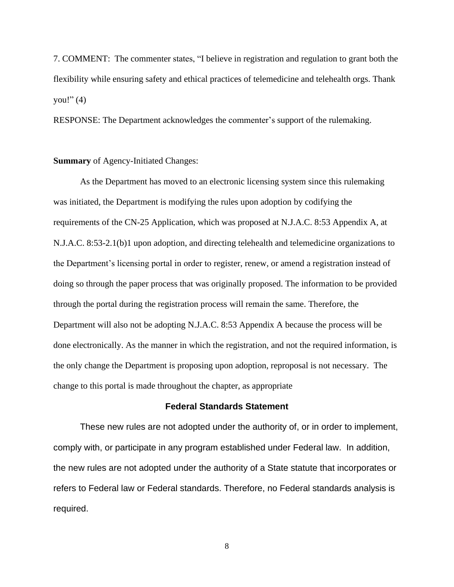7. COMMENT: The commenter states, "I believe in registration and regulation to grant both the flexibility while ensuring safety and ethical practices of telemedicine and telehealth orgs. Thank you!"  $(4)$ 

RESPONSE: The Department acknowledges the commenter's support of the rulemaking.

#### **Summary** of Agency-Initiated Changes:

As the Department has moved to an electronic licensing system since this rulemaking was initiated, the Department is modifying the rules upon adoption by codifying the requirements of the CN-25 Application, which was proposed at N.J.A.C. 8:53 Appendix A, at N.J.A.C. 8:53-2.1(b)1 upon adoption, and directing telehealth and telemedicine organizations to the Department's licensing portal in order to register, renew, or amend a registration instead of doing so through the paper process that was originally proposed. The information to be provided through the portal during the registration process will remain the same. Therefore, the Department will also not be adopting N.J.A.C. 8:53 Appendix A because the process will be done electronically. As the manner in which the registration, and not the required information, is the only change the Department is proposing upon adoption, reproposal is not necessary. The change to this portal is made throughout the chapter, as appropriate

### **Federal Standards Statement**

These new rules are not adopted under the authority of, or in order to implement, comply with, or participate in any program established under Federal law. In addition, the new rules are not adopted under the authority of a State statute that incorporates or refers to Federal law or Federal standards. Therefore, no Federal standards analysis is required.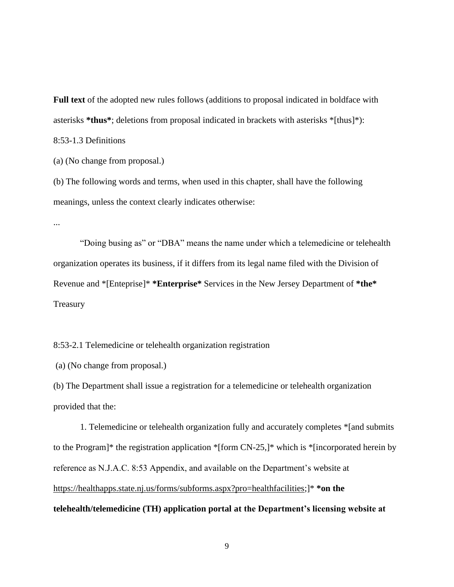**Full text** of the adopted new rules follows (additions to proposal indicated in boldface with asterisks **\*thus\***; deletions from proposal indicated in brackets with asterisks \*[thus]\*):

8:53-1.3 Definitions

(a) (No change from proposal.)

(b) The following words and terms, when used in this chapter, shall have the following meanings, unless the context clearly indicates otherwise:

...

"Doing busing as" or "DBA" means the name under which a telemedicine or telehealth organization operates its business, if it differs from its legal name filed with the Division of Revenue and \*[Enteprise]\* **\*Enterprise\*** Services in the New Jersey Department of **\*the\*** Treasury

8:53-2.1 Telemedicine or telehealth organization registration

(a) (No change from proposal.)

(b) The Department shall issue a registration for a telemedicine or telehealth organization provided that the:

1. Telemedicine or telehealth organization fully and accurately completes \*[and submits to the Program]\* the registration application \*[form CN-25,]\* which is \*[incorporated herein by reference as N.J.A.C. 8:53 Appendix, and available on the Department's website at [https://healthapps.state.nj.us/forms/subforms.aspx?pro=healthfacilities;](https://healthapps.state.nj.us/forms/subforms.aspx?pro=healthfacilities)]\* **\*on the telehealth/telemedicine (TH) application portal at the Department's licensing website at**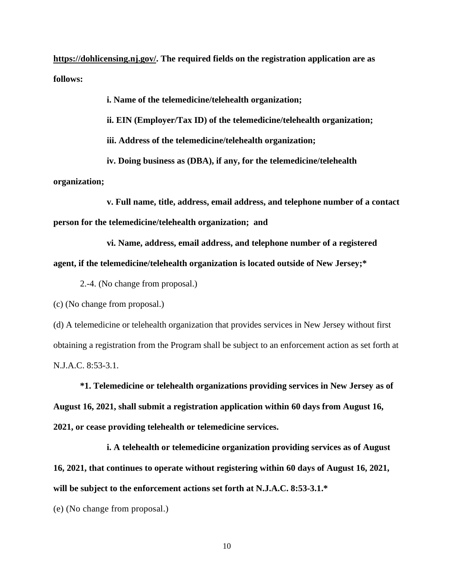**https://dohlicensing.nj.gov/. The required fields on the registration application are as follows:**

**i. Name of the telemedicine/telehealth organization;**

**ii. EIN (Employer/Tax ID) of the telemedicine/telehealth organization;**

**iii. Address of the telemedicine/telehealth organization;**

**iv. Doing business as (DBA), if any, for the telemedicine/telehealth** 

**organization;**

**v. Full name, title, address, email address, and telephone number of a contact person for the telemedicine/telehealth organization; and**

**vi. Name, address, email address, and telephone number of a registered agent, if the telemedicine/telehealth organization is located outside of New Jersey;\***

2.-4. (No change from proposal.)

(c) (No change from proposal.)

(d) A telemedicine or telehealth organization that provides services in New Jersey without first obtaining a registration from the Program shall be subject to an enforcement action as set forth at N.J.A.C. 8:53-3.1.

**\*1. Telemedicine or telehealth organizations providing services in New Jersey as of August 16, 2021, shall submit a registration application within 60 days from August 16, 2021, or cease providing telehealth or telemedicine services.**

**i. A telehealth or telemedicine organization providing services as of August 16, 2021, that continues to operate without registering within 60 days of August 16, 2021, will be subject to the enforcement actions set forth at N.J.A.C. 8:53-3.1.\***

(e) (No change from proposal.)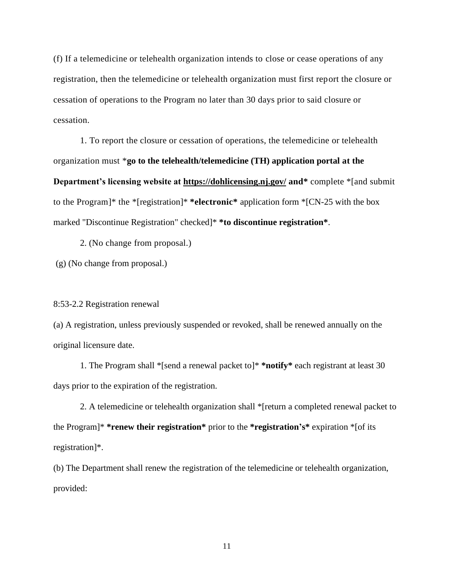(f) If a telemedicine or telehealth organization intends to close or cease operations of any registration, then the telemedicine or telehealth organization must first report the closure or cessation of operations to the Program no later than 30 days prior to said closure or cessation.

1. To report the closure or cessation of operations, the telemedicine or telehealth organization must \***go to the telehealth/telemedicine (TH) application portal at the Department's licensing website at<https://dohlicensing.nj.gov/> and\*** complete \*[and submit to the Program]\* the \*[registration]\* **\*electronic\*** application form \*[CN-25 with the box marked "Discontinue Registration" checked]\* **\*to discontinue registration\***.

2. (No change from proposal.)

(g) (No change from proposal.)

#### 8:53-2.2 Registration renewal

(a) A registration, unless previously suspended or revoked, shall be renewed annually on the original licensure date.

1. The Program shall \*[send a renewal packet to]\* **\*notify\*** each registrant at least 30 days prior to the expiration of the registration.

2. A telemedicine or telehealth organization shall \*[return a completed renewal packet to the Program]\* **\*renew their registration\*** prior to the **\*registration's\*** expiration \*[of its registration]\*.

(b) The Department shall renew the registration of the telemedicine or telehealth organization, provided: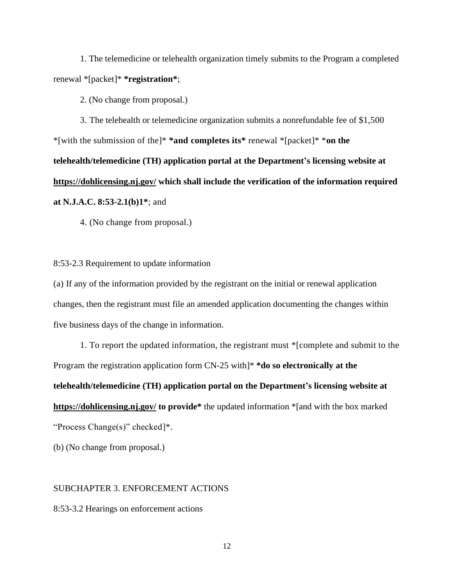1. The telemedicine or telehealth organization timely submits to the Program a completed renewal \*[packet]\* **\*registration\***;

2. (No change from proposal.)

3. The telehealth or telemedicine organization submits a nonrefundable fee of \$1,500 \*[with the submission of the]\* **\*and completes its\*** renewal \*[packet]\* \***on the telehealth/telemedicine (TH) application portal at the Department's licensing website at <https://dohlicensing.nj.gov/> which shall include the verification of the information required at N.J.A.C. 8:53-2.1(b)1\***; and

4. (No change from proposal.)

8:53-2.3 Requirement to update information

(a) If any of the information provided by the registrant on the initial or renewal application changes, then the registrant must file an amended application documenting the changes within five business days of the change in information.

1. To report the updated information, the registrant must \*[complete and submit to the Program the registration application form CN-25 with]\* **\*do so electronically at the telehealth/telemedicine (TH) application portal on the Department's licensing website at <https://dohlicensing.nj.gov/> to provide\*** the updated information \*[and with the box marked "Process Change(s)" checked]\*.

(b) (No change from proposal.)

### SUBCHAPTER 3. ENFORCEMENT ACTIONS

8:53-3.2 Hearings on enforcement actions